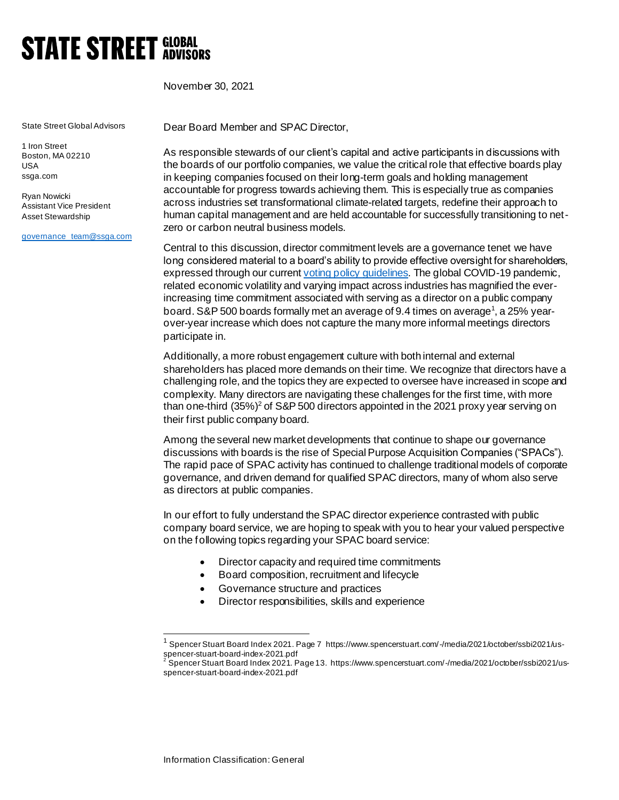## **STATE STREET GLOBAL**

November 30, 2021

State Street Global Advisors

1 Iron Street Boston, MA 02210 USA ssga.com

Ryan Nowicki Assistant Vice President Asset Stewardship

[governance\\_team@ssga.com](mailto:governance_team@ssga.com)

Dear Board Member and SPAC Director,

As responsible stewards of our client's capital and active participants in discussions with the boards of our portfolio companies, we value the critical role that effective boards play in keeping companies focused on their long-term goals and holding management accountable for progress towards achieving them. This is especially true as companies across industries set transformational climate-related targets, redefine their approach to human capital management and are held accountable for successfully transitioning to netzero or carbon neutral business models.

Central to this discussion, director commitment levels are a governance tenet we have long considered material to a board's ability to provide effective oversight for shareholders, expressed through our curren[t voting policy guidelines](https://www.ssga.com/library-content/pdfs/ic/proxy-voting-and-engagement-guidelines-us-canada.pdf). The global COVID-19 pandemic, related economic volatility and varying impact across industries has magnified the everincreasing time commitment associated with serving as a director on a public company board. S&P 500 boards formally met an average of 9.4 times on average<sup>1</sup>, a 25% yearover-year increase which does not capture the many more informal meetings directors participate in.

Additionally, a more robust engagement culture with both internal and external shareholders has placed more demands on their time. We recognize that directors have a challenging role, and the topics they are expected to oversee have increased in scope and complexity. Many directors are navigating these challenges for the first time, with more than one-third  $(35\%)^2$  of S&P 500 directors appointed in the 2021 proxy year serving on their first public company board.

Among the several new market developments that continue to shape our governance discussions with boards is the rise of Special Purpose Acquisition Companies ("SPACs"). The rapid pace of SPAC activity has continued to challenge traditional models of corporate governance, and driven demand for qualified SPAC directors, many of whom also serve as directors at public companies.

In our effort to fully understand the SPAC director experience contrasted with public company board service, we are hoping to speak with you to hear your valued perspective on the following topics regarding your SPAC board service:

- Director capacity and required time commitments
- Board composition, recruitment and lifecycle
- Governance structure and practices
- Director responsibilities, skills and experience

<sup>1</sup> Spencer Stuart Board Index 2021. Page 7 https://www.spencerstuart.com/-/media/2021/october/ssbi2021/usspencer-stuart-board-index-2021.pdf

<sup>2</sup> Spencer Stuart Board Index 2021. Page 13. https://www.spencerstuart.com/-/media/2021/october/ssbi2021/usspencer-stuart-board-index-2021.pdf